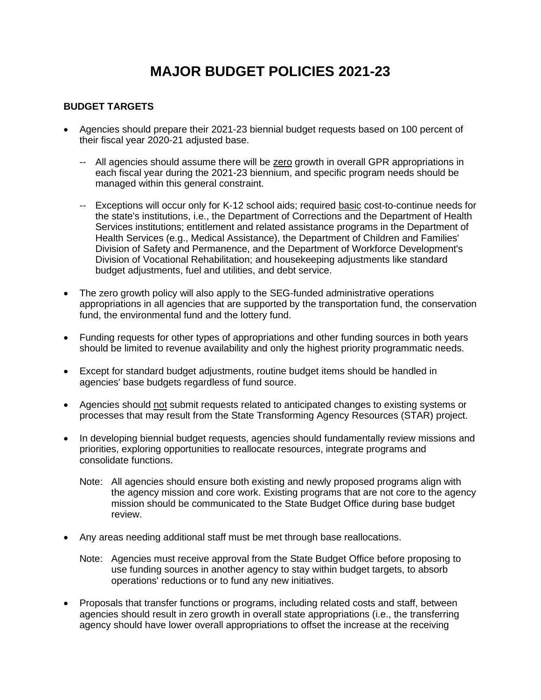# **MAJOR BUDGET POLICIES 2021-23**

#### **BUDGET TARGETS**

- Agencies should prepare their 2021-23 biennial budget requests based on 100 percent of their fiscal year 2020-21 adjusted base.
	- -- All agencies should assume there will be zero growth in overall GPR appropriations in each fiscal year during the 2021-23 biennium, and specific program needs should be managed within this general constraint.
	- -- Exceptions will occur only for K-12 school aids; required basic cost-to-continue needs for the state's institutions, i.e., the Department of Corrections and the Department of Health Services institutions; entitlement and related assistance programs in the Department of Health Services (e.g., Medical Assistance), the Department of Children and Families' Division of Safety and Permanence, and the Department of Workforce Development's Division of Vocational Rehabilitation; and housekeeping adjustments like standard budget adjustments, fuel and utilities, and debt service.
- The zero growth policy will also apply to the SEG-funded administrative operations appropriations in all agencies that are supported by the transportation fund, the conservation fund, the environmental fund and the lottery fund.
- Funding requests for other types of appropriations and other funding sources in both years should be limited to revenue availability and only the highest priority programmatic needs.
- Except for standard budget adjustments, routine budget items should be handled in agencies' base budgets regardless of fund source.
- Agencies should not submit requests related to anticipated changes to existing systems or processes that may result from the State Transforming Agency Resources (STAR) project.
- In developing biennial budget requests, agencies should fundamentally review missions and priorities, exploring opportunities to reallocate resources, integrate programs and consolidate functions.
	- Note: All agencies should ensure both existing and newly proposed programs align with the agency mission and core work. Existing programs that are not core to the agency mission should be communicated to the State Budget Office during base budget review.
- Any areas needing additional staff must be met through base reallocations.
	- Note: Agencies must receive approval from the State Budget Office before proposing to use funding sources in another agency to stay within budget targets, to absorb operations' reductions or to fund any new initiatives.
- Proposals that transfer functions or programs, including related costs and staff, between agencies should result in zero growth in overall state appropriations (i.e., the transferring agency should have lower overall appropriations to offset the increase at the receiving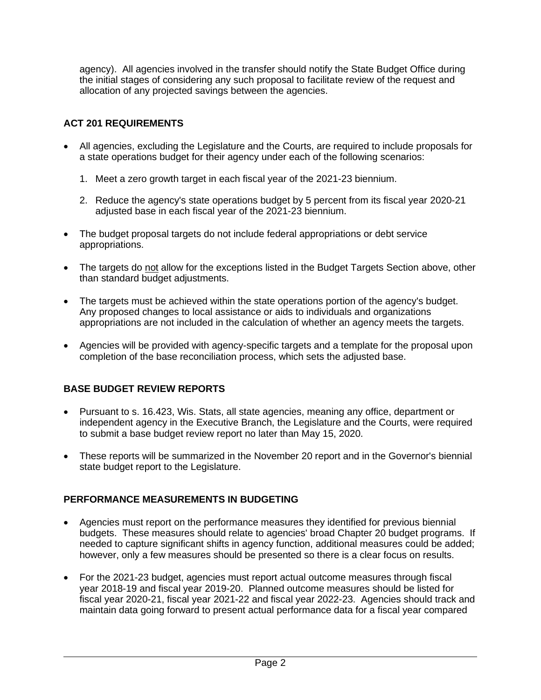agency). All agencies involved in the transfer should notify the State Budget Office during the initial stages of considering any such proposal to facilitate review of the request and allocation of any projected savings between the agencies.

### **ACT 201 REQUIREMENTS**

- All agencies, excluding the Legislature and the Courts, are required to include proposals for a state operations budget for their agency under each of the following scenarios:
	- 1. Meet a zero growth target in each fiscal year of the 2021-23 biennium.
	- 2. Reduce the agency's state operations budget by 5 percent from its fiscal year 2020-21 adjusted base in each fiscal year of the 2021-23 biennium.
- The budget proposal targets do not include federal appropriations or debt service appropriations.
- The targets do not allow for the exceptions listed in the Budget Targets Section above, other than standard budget adjustments.
- The targets must be achieved within the state operations portion of the agency's budget. Any proposed changes to local assistance or aids to individuals and organizations appropriations are not included in the calculation of whether an agency meets the targets.
- Agencies will be provided with agency-specific targets and a template for the proposal upon completion of the base reconciliation process, which sets the adjusted base.

#### **BASE BUDGET REVIEW REPORTS**

- Pursuant to s. 16.423, Wis. Stats, all state agencies, meaning any office, department or independent agency in the Executive Branch, the Legislature and the Courts, were required to submit a base budget review report no later than May 15, 2020.
- These reports will be summarized in the November 20 report and in the Governor's biennial state budget report to the Legislature.

#### **PERFORMANCE MEASUREMENTS IN BUDGETING**

- Agencies must report on the performance measures they identified for previous biennial budgets. These measures should relate to agencies' broad Chapter 20 budget programs. If needed to capture significant shifts in agency function, additional measures could be added; however, only a few measures should be presented so there is a clear focus on results.
- For the 2021-23 budget, agencies must report actual outcome measures through fiscal year 2018-19 and fiscal year 2019-20. Planned outcome measures should be listed for fiscal year 2020-21, fiscal year 2021-22 and fiscal year 2022-23. Agencies should track and maintain data going forward to present actual performance data for a fiscal year compared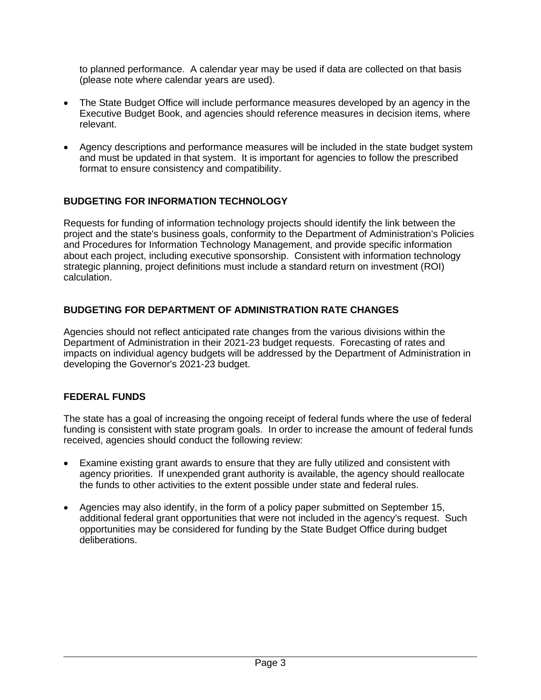to planned performance. A calendar year may be used if data are collected on that basis (please note where calendar years are used).

- The State Budget Office will include performance measures developed by an agency in the Executive Budget Book, and agencies should reference measures in decision items, where relevant.
- Agency descriptions and performance measures will be included in the state budget system and must be updated in that system. It is important for agencies to follow the prescribed format to ensure consistency and compatibility.

# **BUDGETING FOR INFORMATION TECHNOLOGY**

Requests for funding of information technology projects should identify the link between the project and the state's business goals, conformity to the Department of Administration's Policies and Procedures for Information Technology Management, and provide specific information about each project, including executive sponsorship. Consistent with information technology strategic planning, project definitions must include a standard return on investment (ROI) calculation.

#### **BUDGETING FOR DEPARTMENT OF ADMINISTRATION RATE CHANGES**

Agencies should not reflect anticipated rate changes from the various divisions within the Department of Administration in their 2021-23 budget requests. Forecasting of rates and impacts on individual agency budgets will be addressed by the Department of Administration in developing the Governor's 2021-23 budget.

#### **FEDERAL FUNDS**

The state has a goal of increasing the ongoing receipt of federal funds where the use of federal funding is consistent with state program goals. In order to increase the amount of federal funds received, agencies should conduct the following review:

- Examine existing grant awards to ensure that they are fully utilized and consistent with agency priorities. If unexpended grant authority is available, the agency should reallocate the funds to other activities to the extent possible under state and federal rules.
- Agencies may also identify, in the form of a policy paper submitted on September 15, additional federal grant opportunities that were not included in the agency's request. Such opportunities may be considered for funding by the State Budget Office during budget deliberations.